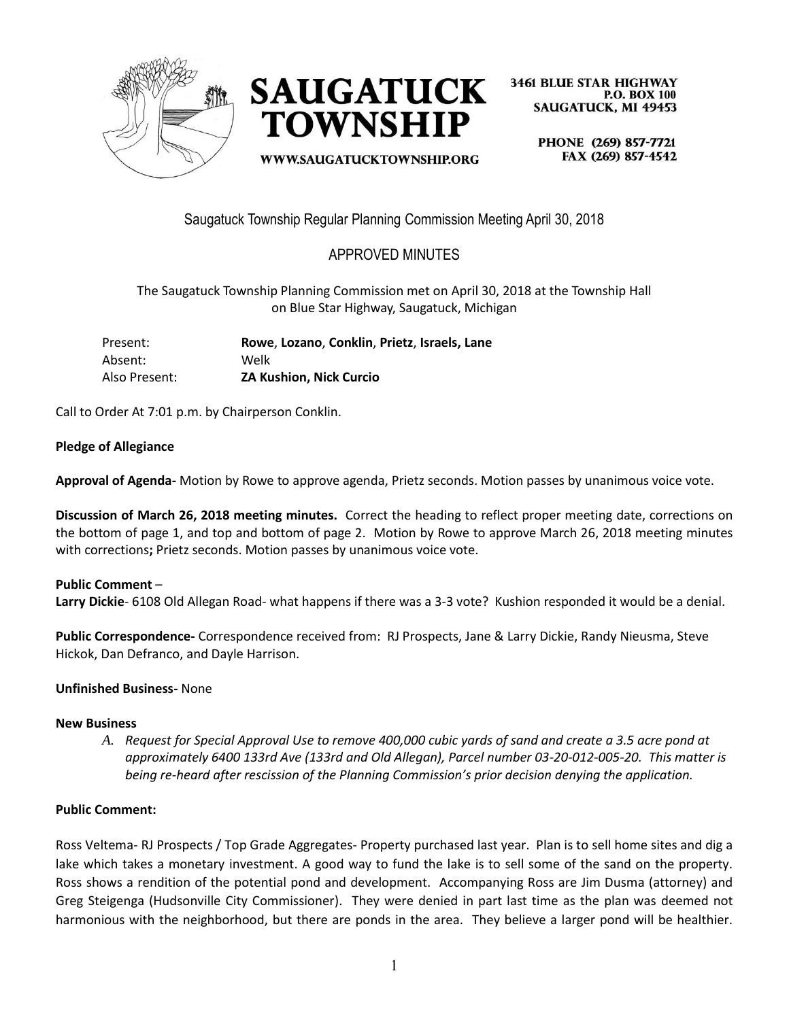



WWW.SAUGATUCKTOWNSHIP.ORG

**3461 BLUE STAR HIGHWAY P.O. BOX 100 SAUGATUCK, MI 49453** 

> PHONE (269) 857-7721 FAX (269) 857-4542

Saugatuck Township Regular Planning Commission Meeting April 30, 2018

# APPROVED MINUTES

The Saugatuck Township Planning Commission met on April 30, 2018 at the Township Hall on Blue Star Highway, Saugatuck, Michigan

| Present:      | Rowe, Lozano, Conklin, Prietz, Israels, Lane |
|---------------|----------------------------------------------|
| Absent:       | Welk                                         |
| Also Present: | <b>ZA Kushion. Nick Curcio</b>               |

Call to Order At 7:01 p.m. by Chairperson Conklin.

### **Pledge of Allegiance**

**Approval of Agenda-** Motion by Rowe to approve agenda, Prietz seconds. Motion passes by unanimous voice vote.

**Discussion of March 26, 2018 meeting minutes.** Correct the heading to reflect proper meeting date, corrections on the bottom of page 1, and top and bottom of page 2. Motion by Rowe to approve March 26, 2018 meeting minutes with corrections**;** Prietz seconds. Motion passes by unanimous voice vote.

### **Public Comment** –

**Larry Dickie**- 6108 Old Allegan Road- what happens if there was a 3-3 vote? Kushion responded it would be a denial.

**Public Correspondence-** Correspondence received from: RJ Prospects, Jane & Larry Dickie, Randy Nieusma, Steve Hickok, Dan Defranco, and Dayle Harrison.

#### **Unfinished Business-** None

#### **New Business**

*A. Request for Special Approval Use to remove 400,000 cubic yards of sand and create a 3.5 acre pond at approximately 6400 133rd Ave (133rd and Old Allegan), Parcel number 03-20-012-005-20. This matter is being re-heard after rescission of the Planning Commission's prior decision denying the application.*

### **Public Comment:**

Ross Veltema- RJ Prospects / Top Grade Aggregates- Property purchased last year. Plan is to sell home sites and dig a lake which takes a monetary investment. A good way to fund the lake is to sell some of the sand on the property. Ross shows a rendition of the potential pond and development. Accompanying Ross are Jim Dusma (attorney) and Greg Steigenga (Hudsonville City Commissioner). They were denied in part last time as the plan was deemed not harmonious with the neighborhood, but there are ponds in the area. They believe a larger pond will be healthier.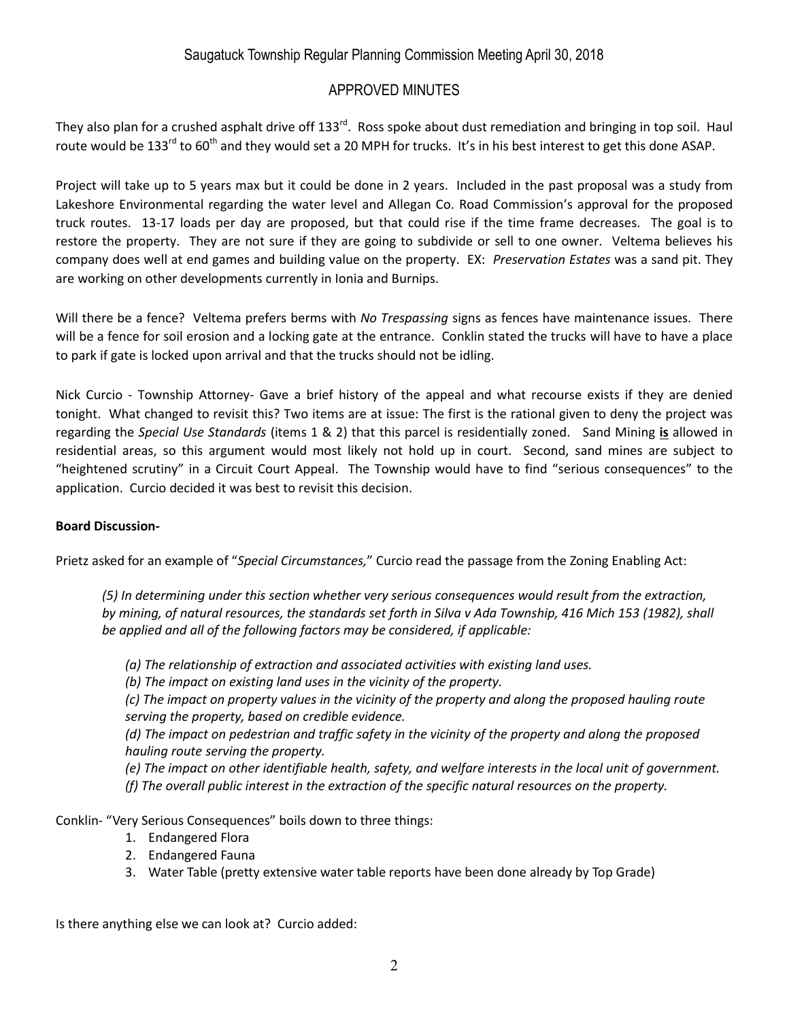# Saugatuck Township Regular Planning Commission Meeting April 30, 2018

# APPROVED MINUTES

They also plan for a crushed asphalt drive off 133<sup>rd</sup>. Ross spoke about dust remediation and bringing in top soil. Haul route would be 133<sup>rd</sup> to 60<sup>th</sup> and they would set a 20 MPH for trucks. It's in his best interest to get this done ASAP.

Project will take up to 5 years max but it could be done in 2 years. Included in the past proposal was a study from Lakeshore Environmental regarding the water level and Allegan Co. Road Commission's approval for the proposed truck routes. 13-17 loads per day are proposed, but that could rise if the time frame decreases. The goal is to restore the property. They are not sure if they are going to subdivide or sell to one owner. Veltema believes his company does well at end games and building value on the property. EX: *Preservation Estates* was a sand pit. They are working on other developments currently in Ionia and Burnips.

Will there be a fence? Veltema prefers berms with *No Trespassing* signs as fences have maintenance issues. There will be a fence for soil erosion and a locking gate at the entrance. Conklin stated the trucks will have to have a place to park if gate is locked upon arrival and that the trucks should not be idling.

Nick Curcio - Township Attorney- Gave a brief history of the appeal and what recourse exists if they are denied tonight. What changed to revisit this? Two items are at issue: The first is the rational given to deny the project was regarding the *Special Use Standards* (items 1 & 2) that this parcel is residentially zoned. Sand Mining **is** allowed in residential areas, so this argument would most likely not hold up in court. Second, sand mines are subject to "heightened scrutiny" in a Circuit Court Appeal. The Township would have to find "serious consequences" to the application. Curcio decided it was best to revisit this decision.

#### **Board Discussion-**

Prietz asked for an example of "*Special Circumstances,*" Curcio read the passage from the Zoning Enabling Act:

*(5) In determining under this section whether very serious consequences would result from the extraction, by mining, of natural resources, the standards set forth in Silva v Ada Township, 416 Mich 153 (1982), shall be applied and all of the following factors may be considered, if applicable:*

- *(a) The relationship of extraction and associated activities with existing land uses.*
- *(b) The impact on existing land uses in the vicinity of the property.*

*(c) The impact on property values in the vicinity of the property and along the proposed hauling route serving the property, based on credible evidence.*

*(d) The impact on pedestrian and traffic safety in the vicinity of the property and along the proposed hauling route serving the property.*

*(e) The impact on other identifiable health, safety, and welfare interests in the local unit of government. (f) The overall public interest in the extraction of the specific natural resources on the property.*

Conklin- "Very Serious Consequences" boils down to three things:

- 1. Endangered Flora
- 2. Endangered Fauna
- 3. Water Table (pretty extensive water table reports have been done already by Top Grade)

Is there anything else we can look at? Curcio added: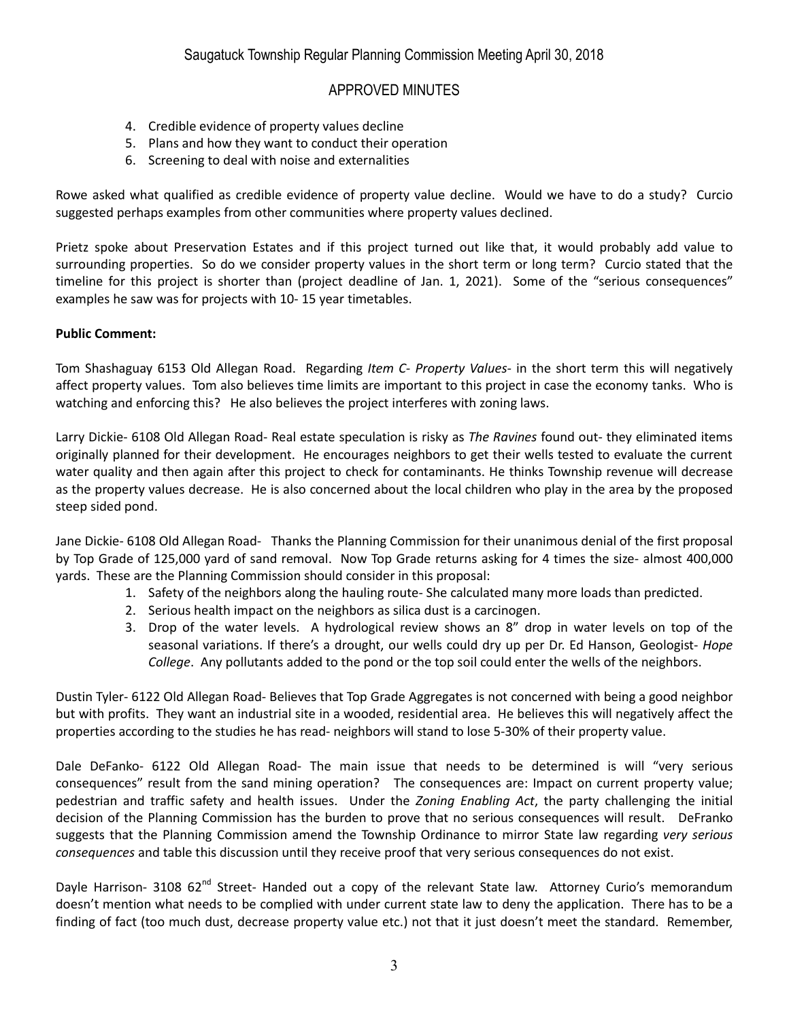## APPROVED MINUTES

- 4. Credible evidence of property values decline
- 5. Plans and how they want to conduct their operation
- 6. Screening to deal with noise and externalities

Rowe asked what qualified as credible evidence of property value decline. Would we have to do a study? Curcio suggested perhaps examples from other communities where property values declined.

Prietz spoke about Preservation Estates and if this project turned out like that, it would probably add value to surrounding properties. So do we consider property values in the short term or long term? Curcio stated that the timeline for this project is shorter than (project deadline of Jan. 1, 2021). Some of the "serious consequences" examples he saw was for projects with 10- 15 year timetables.

#### **Public Comment:**

Tom Shashaguay 6153 Old Allegan Road. Regarding *Item C- Property Values-* in the short term this will negatively affect property values. Tom also believes time limits are important to this project in case the economy tanks. Who is watching and enforcing this? He also believes the project interferes with zoning laws.

Larry Dickie- 6108 Old Allegan Road- Real estate speculation is risky as *The Ravines* found out- they eliminated items originally planned for their development. He encourages neighbors to get their wells tested to evaluate the current water quality and then again after this project to check for contaminants. He thinks Township revenue will decrease as the property values decrease. He is also concerned about the local children who play in the area by the proposed steep sided pond.

Jane Dickie- 6108 Old Allegan Road- Thanks the Planning Commission for their unanimous denial of the first proposal by Top Grade of 125,000 yard of sand removal. Now Top Grade returns asking for 4 times the size- almost 400,000 yards. These are the Planning Commission should consider in this proposal:

- 1. Safety of the neighbors along the hauling route- She calculated many more loads than predicted.
- 2. Serious health impact on the neighbors as silica dust is a carcinogen.
- 3. Drop of the water levels. A hydrological review shows an 8" drop in water levels on top of the seasonal variations. If there's a drought, our wells could dry up per Dr. Ed Hanson, Geologist- *Hope College*. Any pollutants added to the pond or the top soil could enter the wells of the neighbors.

Dustin Tyler- 6122 Old Allegan Road- Believes that Top Grade Aggregates is not concerned with being a good neighbor but with profits. They want an industrial site in a wooded, residential area. He believes this will negatively affect the properties according to the studies he has read- neighbors will stand to lose 5-30% of their property value.

Dale DeFanko- 6122 Old Allegan Road- The main issue that needs to be determined is will "very serious consequences" result from the sand mining operation? The consequences are: Impact on current property value; pedestrian and traffic safety and health issues. Under the *Zoning Enabling Act*, the party challenging the initial decision of the Planning Commission has the burden to prove that no serious consequences will result. DeFranko suggests that the Planning Commission amend the Township Ordinance to mirror State law regarding *very serious consequences* and table this discussion until they receive proof that very serious consequences do not exist.

Davle Harrison- 3108 62<sup>nd</sup> Street- Handed out a copy of the relevant State law. Attorney Curio's memorandum doesn't mention what needs to be complied with under current state law to deny the application. There has to be a finding of fact (too much dust, decrease property value etc.) not that it just doesn't meet the standard. Remember,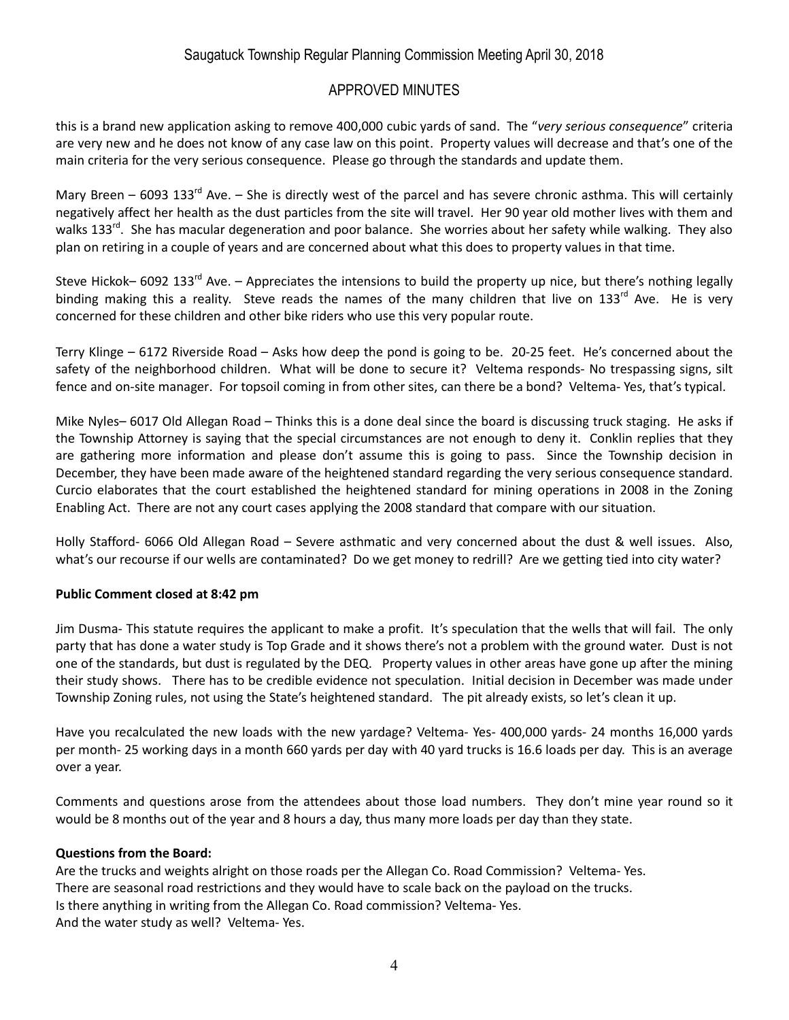# Saugatuck Township Regular Planning Commission Meeting April 30, 2018

### APPROVED MINUTES

this is a brand new application asking to remove 400,000 cubic yards of sand. The "*very serious consequence*" criteria are very new and he does not know of any case law on this point. Property values will decrease and that's one of the main criteria for the very serious consequence. Please go through the standards and update them.

Mary Breen – 6093 133<sup>rd</sup> Ave. – She is directly west of the parcel and has severe chronic asthma. This will certainly negatively affect her health as the dust particles from the site will travel. Her 90 year old mother lives with them and walks 133<sup>rd</sup>. She has macular degeneration and poor balance. She worries about her safety while walking. They also plan on retiring in a couple of years and are concerned about what this does to property values in that time.

Steve Hickok– 6092 133<sup>rd</sup> Ave. – Appreciates the intensions to build the property up nice, but there's nothing legally binding making this a reality. Steve reads the names of the many children that live on 133<sup>rd</sup> Ave. He is very concerned for these children and other bike riders who use this very popular route.

Terry Klinge – 6172 Riverside Road – Asks how deep the pond is going to be. 20-25 feet. He's concerned about the safety of the neighborhood children. What will be done to secure it? Veltema responds- No trespassing signs, silt fence and on-site manager. For topsoil coming in from other sites, can there be a bond? Veltema- Yes, that's typical.

Mike Nyles– 6017 Old Allegan Road – Thinks this is a done deal since the board is discussing truck staging. He asks if the Township Attorney is saying that the special circumstances are not enough to deny it. Conklin replies that they are gathering more information and please don't assume this is going to pass. Since the Township decision in December, they have been made aware of the heightened standard regarding the very serious consequence standard. Curcio elaborates that the court established the heightened standard for mining operations in 2008 in the Zoning Enabling Act. There are not any court cases applying the 2008 standard that compare with our situation.

Holly Stafford- 6066 Old Allegan Road – Severe asthmatic and very concerned about the dust & well issues. Also, what's our recourse if our wells are contaminated? Do we get money to redrill? Are we getting tied into city water?

### **Public Comment closed at 8:42 pm**

Jim Dusma- This statute requires the applicant to make a profit. It's speculation that the wells that will fail. The only party that has done a water study is Top Grade and it shows there's not a problem with the ground water. Dust is not one of the standards, but dust is regulated by the DEQ. Property values in other areas have gone up after the mining their study shows. There has to be credible evidence not speculation. Initial decision in December was made under Township Zoning rules, not using the State's heightened standard. The pit already exists, so let's clean it up.

Have you recalculated the new loads with the new yardage? Veltema- Yes- 400,000 yards- 24 months 16,000 yards per month- 25 working days in a month 660 yards per day with 40 yard trucks is 16.6 loads per day. This is an average over a year.

Comments and questions arose from the attendees about those load numbers. They don't mine year round so it would be 8 months out of the year and 8 hours a day, thus many more loads per day than they state.

#### **Questions from the Board:**

Are the trucks and weights alright on those roads per the Allegan Co. Road Commission? Veltema- Yes. There are seasonal road restrictions and they would have to scale back on the payload on the trucks. Is there anything in writing from the Allegan Co. Road commission? Veltema- Yes. And the water study as well? Veltema- Yes.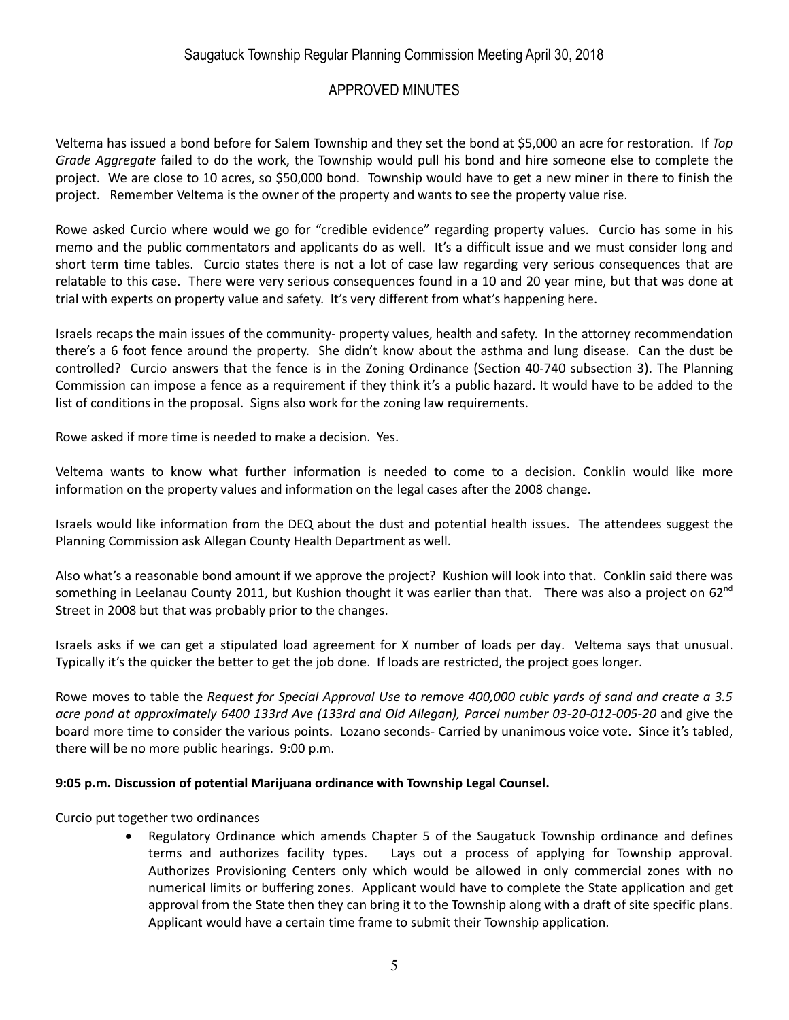# Saugatuck Township Regular Planning Commission Meeting April 30, 2018

# APPROVED MINUTES

Veltema has issued a bond before for Salem Township and they set the bond at \$5,000 an acre for restoration. If *Top Grade Aggregate* failed to do the work, the Township would pull his bond and hire someone else to complete the project. We are close to 10 acres, so \$50,000 bond. Township would have to get a new miner in there to finish the project. Remember Veltema is the owner of the property and wants to see the property value rise.

Rowe asked Curcio where would we go for "credible evidence" regarding property values. Curcio has some in his memo and the public commentators and applicants do as well. It's a difficult issue and we must consider long and short term time tables. Curcio states there is not a lot of case law regarding very serious consequences that are relatable to this case. There were very serious consequences found in a 10 and 20 year mine, but that was done at trial with experts on property value and safety. It's very different from what's happening here.

Israels recaps the main issues of the community- property values, health and safety. In the attorney recommendation there's a 6 foot fence around the property. She didn't know about the asthma and lung disease. Can the dust be controlled? Curcio answers that the fence is in the Zoning Ordinance (Section 40-740 subsection 3). The Planning Commission can impose a fence as a requirement if they think it's a public hazard. It would have to be added to the list of conditions in the proposal. Signs also work for the zoning law requirements.

Rowe asked if more time is needed to make a decision. Yes.

Veltema wants to know what further information is needed to come to a decision. Conklin would like more information on the property values and information on the legal cases after the 2008 change.

Israels would like information from the DEQ about the dust and potential health issues. The attendees suggest the Planning Commission ask Allegan County Health Department as well.

Also what's a reasonable bond amount if we approve the project? Kushion will look into that. Conklin said there was something in Leelanau County 2011, but Kushion thought it was earlier than that. There was also a project on 62 $n<sup>nd</sup>$ Street in 2008 but that was probably prior to the changes.

Israels asks if we can get a stipulated load agreement for X number of loads per day. Veltema says that unusual. Typically it's the quicker the better to get the job done. If loads are restricted, the project goes longer.

Rowe moves to table the *Request for Special Approval Use to remove 400,000 cubic yards of sand and create a 3.5 acre pond at approximately 6400 133rd Ave (133rd and Old Allegan), Parcel number 03-20-012-005-20* and give the board more time to consider the various points. Lozano seconds- Carried by unanimous voice vote. Since it's tabled, there will be no more public hearings. 9:00 p.m.

#### **9:05 p.m. Discussion of potential Marijuana ordinance with Township Legal Counsel.**

Curcio put together two ordinances

 Regulatory Ordinance which amends Chapter 5 of the Saugatuck Township ordinance and defines terms and authorizes facility types. Lays out a process of applying for Township approval. Authorizes Provisioning Centers only which would be allowed in only commercial zones with no numerical limits or buffering zones. Applicant would have to complete the State application and get approval from the State then they can bring it to the Township along with a draft of site specific plans. Applicant would have a certain time frame to submit their Township application.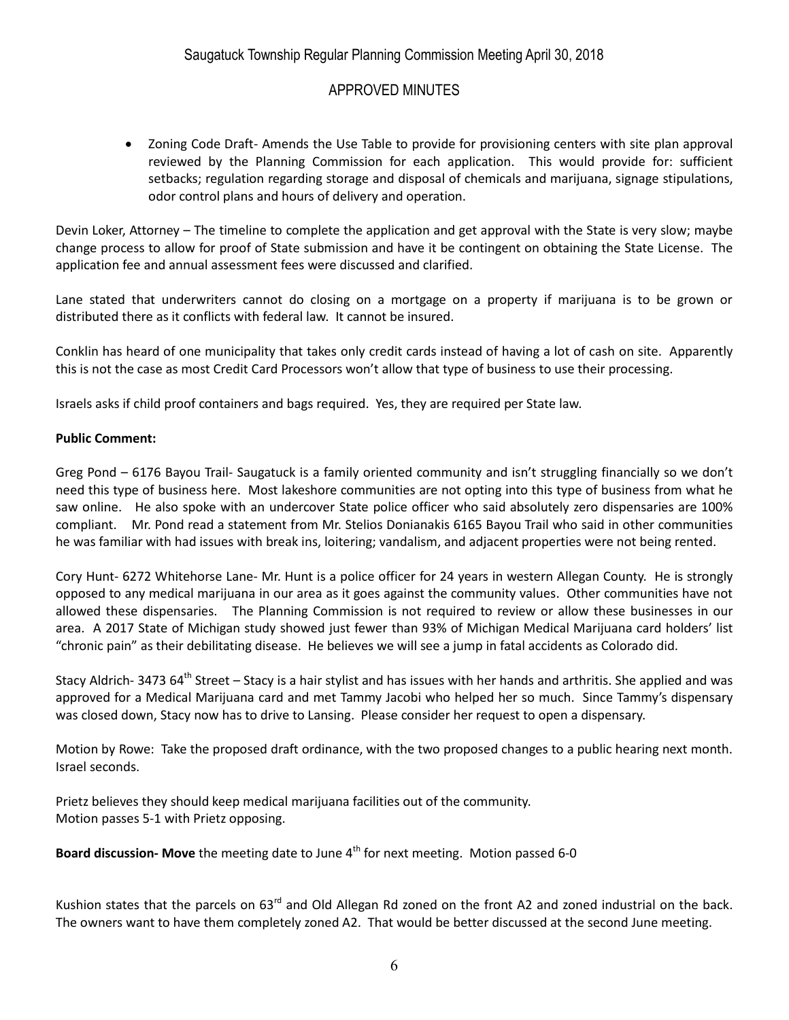# APPROVED MINUTES

 Zoning Code Draft- Amends the Use Table to provide for provisioning centers with site plan approval reviewed by the Planning Commission for each application. This would provide for: sufficient setbacks; regulation regarding storage and disposal of chemicals and marijuana, signage stipulations, odor control plans and hours of delivery and operation.

Devin Loker, Attorney – The timeline to complete the application and get approval with the State is very slow; maybe change process to allow for proof of State submission and have it be contingent on obtaining the State License. The application fee and annual assessment fees were discussed and clarified.

Lane stated that underwriters cannot do closing on a mortgage on a property if marijuana is to be grown or distributed there as it conflicts with federal law. It cannot be insured.

Conklin has heard of one municipality that takes only credit cards instead of having a lot of cash on site. Apparently this is not the case as most Credit Card Processors won't allow that type of business to use their processing.

Israels asks if child proof containers and bags required. Yes, they are required per State law.

#### **Public Comment:**

Greg Pond – 6176 Bayou Trail- Saugatuck is a family oriented community and isn't struggling financially so we don't need this type of business here. Most lakeshore communities are not opting into this type of business from what he saw online. He also spoke with an undercover State police officer who said absolutely zero dispensaries are 100% compliant. Mr. Pond read a statement from Mr. Stelios Donianakis 6165 Bayou Trail who said in other communities he was familiar with had issues with break ins, loitering; vandalism, and adjacent properties were not being rented.

Cory Hunt- 6272 Whitehorse Lane- Mr. Hunt is a police officer for 24 years in western Allegan County. He is strongly opposed to any medical marijuana in our area as it goes against the community values. Other communities have not allowed these dispensaries. The Planning Commission is not required to review or allow these businesses in our area. A 2017 State of Michigan study showed just fewer than 93% of Michigan Medical Marijuana card holders' list "chronic pain" as their debilitating disease. He believes we will see a jump in fatal accidents as Colorado did.

Stacy Aldrich- 3473 64<sup>th</sup> Street – Stacy is a hair stylist and has issues with her hands and arthritis. She applied and was approved for a Medical Marijuana card and met Tammy Jacobi who helped her so much. Since Tammy's dispensary was closed down, Stacy now has to drive to Lansing. Please consider her request to open a dispensary.

Motion by Rowe: Take the proposed draft ordinance, with the two proposed changes to a public hearing next month. Israel seconds.

Prietz believes they should keep medical marijuana facilities out of the community. Motion passes 5-1 with Prietz opposing.

**Board discussion- Move** the meeting date to June 4<sup>th</sup> for next meeting. Motion passed 6-0

Kushion states that the parcels on 63<sup>rd</sup> and Old Allegan Rd zoned on the front A2 and zoned industrial on the back. The owners want to have them completely zoned A2. That would be better discussed at the second June meeting.